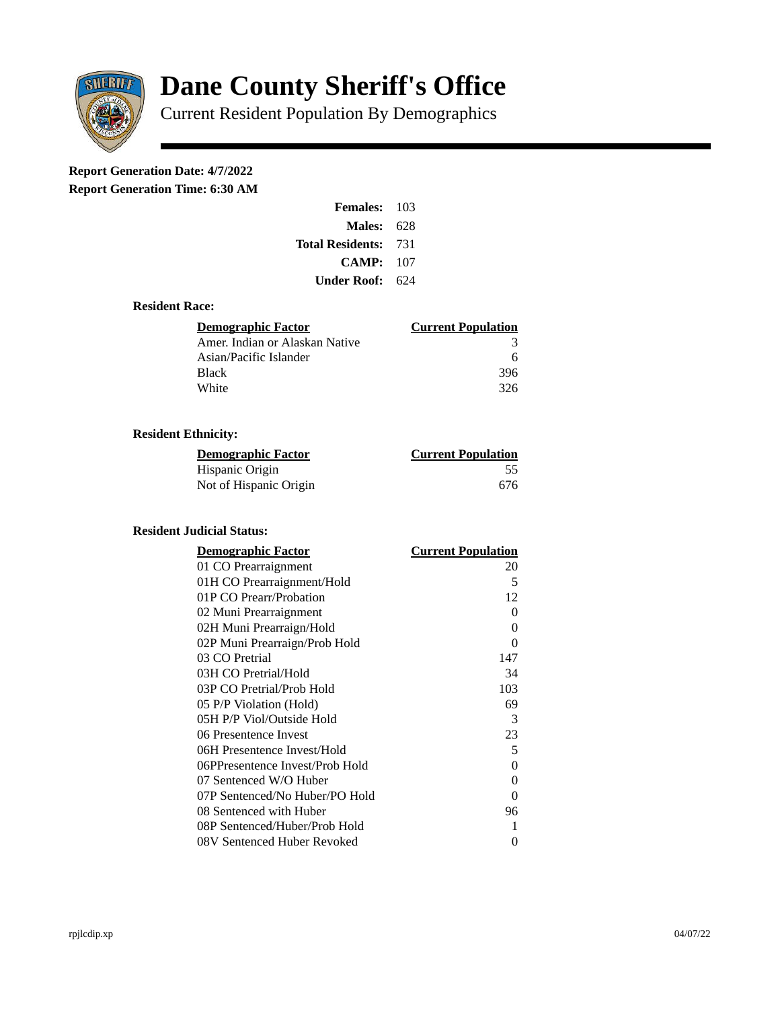

# **Dane County Sheriff's Office**

Current Resident Population By Demographics

# **Report Generation Date: 4/7/2022**

**Report Generation Time: 6:30 AM** 

| <b>Females: 103</b>         |     |
|-----------------------------|-----|
| <b>Males: 628</b>           |     |
| <b>Total Residents: 731</b> |     |
| CAMP:                       | 107 |
| <b>Under Roof:</b> 624      |     |

### **Resident Race:**

| <b>Demographic Factor</b>      | <b>Current Population</b> |
|--------------------------------|---------------------------|
| Amer. Indian or Alaskan Native | 3                         |
| Asian/Pacific Islander         | 6                         |
| <b>Black</b>                   | 396                       |
| White                          | 326                       |

# **Resident Ethnicity:**

| <u> Demographic Factor</u> | <u>Current Population</u> |
|----------------------------|---------------------------|
| Hispanic Origin            | 55                        |
| Not of Hispanic Origin     | 676                       |

#### **Resident Judicial Status:**

| <b>Demographic Factor</b>       | <b>Current Population</b> |
|---------------------------------|---------------------------|
| 01 CO Prearraignment            | 20                        |
| 01H CO Prearraignment/Hold      | 5                         |
| 01P CO Prearr/Probation         | 12                        |
| 02 Muni Prearraignment          | 0                         |
| 02H Muni Prearraign/Hold        | 0                         |
| 02P Muni Prearraign/Prob Hold   | 0                         |
| 03 CO Pretrial                  | 147                       |
| 03H CO Pretrial/Hold            | 34                        |
| 03P CO Pretrial/Prob Hold       | 103                       |
| 05 P/P Violation (Hold)         | 69                        |
| 05H P/P Viol/Outside Hold       | 3                         |
| 06 Presentence Invest           | 23                        |
| 06H Presentence Invest/Hold     | 5                         |
| 06PPresentence Invest/Prob Hold | 0                         |
| 07 Sentenced W/O Huber          | 0                         |
| 07P Sentenced/No Huber/PO Hold  | 0                         |
| 08 Sentenced with Huber         | 96                        |
| 08P Sentenced/Huber/Prob Hold   | 1                         |
| 08V Sentenced Huber Revoked     | 0                         |